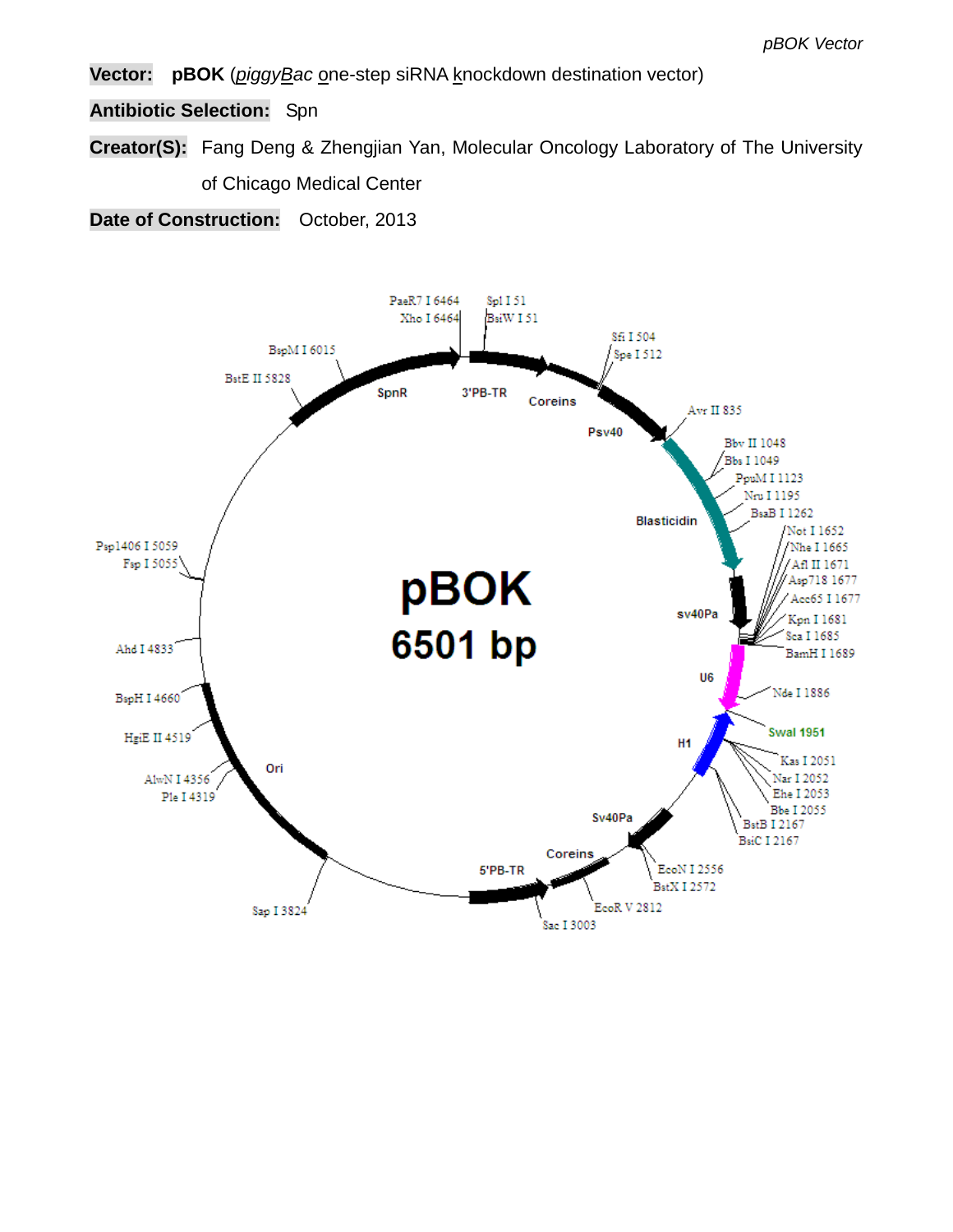**Vector: pBOK** (*piggyBac* one-step siRNA knockdown destination vector)

**Antibiotic Selection:** Spn

**Creator(S):** Fang Deng & Zhengjian Yan, Molecular Oncology Laboratory of The University of Chicago Medical Center

**Date of Construction:** October, 2013

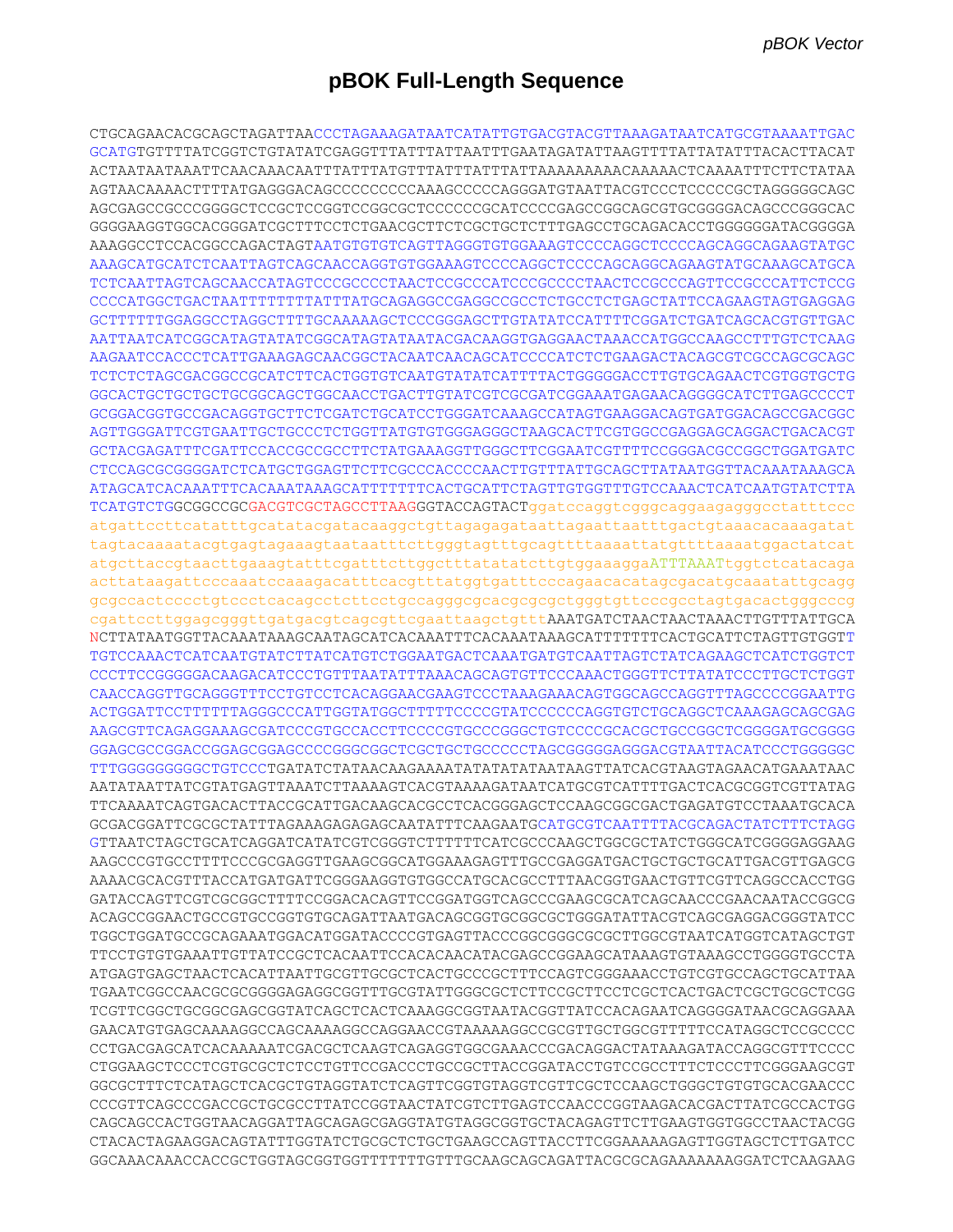# **pBOK Full-Length Sequence**

CTGCAGAACACGCAGCTAGATTAACCCTAGAAAGATAATCATATTGTGACGTACGTTAAAGATAATCATGCGTAAAATTGAC GCATGTGTTTTATCGGTCTGTATATCGAGGTTTATTTATTAATTTGAATAGATATTAAGTTTTATTATATTTACACTTACAT ACTAATAATAAATTCAACAAACAATTTATTTATGTTTATTTATTTATTAAAAAAAAACAAAAACTCAAAATTTCTTCTATAA AGTAACAAAACTTTTATGAGGGACAGCCCCCCCCCAAAGCCCCCAGGGATGTAATTACGTCCCTCCCCCGCTAGGGGGCAGC AGCGAGCCGCCCGGGGCTCCGCTCCGGTCCGGCGCTCCCCCCGCATCCCCGAGCCGGCAGCGTGCGGGGACAGCCCGGGCAC GGGGAAGGTGGCACGGGATCGCTTTCCTCTGAACGCTTCTCGCTGCTCTTTGAGCCTGCAGACACCTGGGGGGATACGGGGA AAAGGCCTCCACGGCCAGACTAGTAATGTGTGTCAGTTAGGGTGTGGAAAGTCCCCAGGCTCCCCAGCAGGCAGAAGTATGC AAAGCATGCATCTCAATTAGTCAGCAACCAGGTGTGGAAAGTCCCCAGGCTCCCCAGCAGGCAGAAGTATGCAAAGCATGCA TCTCAATTAGTCAGCAACCATAGTCCCGCCCCTAACTCCGCCCATCCCGCCCCTAACTCCGCCCAGTTCCGCCCATTCTCCG CCCCATGGCTGACTAATTTTTTTTATTTATGCAGAGGCCGAGGCCGCCTCTGCCTCTGAGCTATTCCAGAAGTAGTGAGGAG GCTTTTTTGGAGGCCTAGGCTTTTGCAAAAAGCTCCCGGGAGCTTGTATATCCATTTTCGGATCTGATCAGCACGTGTTGAC AATTAATCATCGGCATAGTATATCGGCATAGTATAATACGACAAGGTGAGGAACTAAACCATGGCCAAGCCTTTGTCTCAAG AAGAATCCACCCTCATTGAAAGAGCAACGGCTACAATCAACAGCATCCCCATCTCTGAAGACTACAGCGTCGCCAGCGCAGC TCTCTCTAGCGACGGCCGCATCTTCACTGGTGTCAATGTATATCATTTTACTGGGGGACCTTGTGCAGAACTCGTGGTGCTG GGCACTGCTGCTGCTGCGGCAGCTGGCAACCTGACTTGTATCGTCGCGATCGGAAATGAGAACAGGGGCATCTTGAGCCCCT GCGGACGGTGCCGACAGGTGCTTCTCGATCTGCATCCTGGGATCAAAGCCATAGTGAAGGACAGTGATGGACAGCCGACGGC AGTTGGGATTCGTGAATTGCTGCCCTCTGGTTATGTGTGGGAGGGCTAAGCACTTCGTGGCCGAGGAGCAGGACTGACACGT GCTACGAGATTTCGATTCCACCGCCGCCTTCTATGAAAGGTTGGGCTTCGGAATCGTTTTCCGGGACGCCGGCTGGATGATC CTCCAGCGCGGGGATCTCATGCTGGAGTTCTTCGCCCACCCCAACTTGTTTATTGCAGCTTATAATGGTTACAAATAAAGCA ATAGCATCACAAATTTCACAAATAAAGCATTTTTTTCACTGCATTCTAGTTGTGGTTTGTCCAAACTCATCAATGTATCTTA TCATGTCTGGCGGCCGCGACGTCGCTAGCCTTAAGGGTACCAGTACTggatccaggtcgggcaggaagagggcctatttccc atgattccttcatatttgcatatacgatacaaggctgttagagagataattagaattaatttgactgtaaacacaaagatat tagtacaaaatacgtgagtagaaagtaataatttcttgggtagtttgcagttttaaaattatgttttaaaatggactatcat atgcttaccgtaacttgaaagtatttcgatttcttggctttatatatcttgtggaaaggaATTTAAATtggtctcatacaga acttataagattcccaaatccaaagacatttcacgtttatggtgatttcccagaacacatagcgacatgcaaatattgcagg gcgccactcccctgtccctcacagcctcttcctgccagggcgcacgcgcgctgggtgttcccgcctagtgacactgggcccg cgattccttggagcgggttgatgacgtcagcgttcgaattaagctgtttAAATGATCTAACTAACTAAACTTGTTTATTGCA NCTTATAATGGTTACAAATAAAGCAATAGCATCACAAATTTCACAAATAAAGCATTTTTTTCACTGCATTCTAGTTGTGGTT TGTCCAAACTCATCAATGTATCTTATCATGTCTGGAATGACTCAAATGATGTCAATTAGTCTATCAGAAGCTCATCTGGTCT CCCTTCCGGGGGACAAGACATCCCTGTTTAATATTTAAACAGCAGTGTTCCCAAACTGGGTTCTTATATCCCTTGCTCTGGT CAACCAGGTTGCAGGGTTTCCTGTCCTCACAGGAACGAAGTCCCTAAAGAAACAGTGGCAGCCAGGTTTAGCCCCGGAATTG ACTGGATTCCTTTTTTAGGGCCCATTGGTATGGCTTTTTCCCCGTATCCCCCCAGGTGTCTGCAGGCTCAAAGAGCAGCGAG AAGCGTTCAGAGGAAAGCGATCCCGTGCCACCTTCCCCGTGCCCGGGCTGTCCCCGCACGCTGCCGGCTCGGGGATGCGGGG GGAGCGCCGGACCGGAGCGGAGCCCCGGGCGGCTCGCTGCTGCCCCCTAGCGGGGGAGGGACGTAATTACATCCCTGGGGGC TTTGGGGGGGGGCTGTCCCTGATATCTATAACAAGAAAATATATATATAATAAGTTATCACGTAAGTAGAACATGAAATAAC AATATAATTATCGTATGAGTTAAATCTTAAAAGTCACGTAAAAGATAATCATGCGTCATTTTGACTCACGCGGTCGTTATAG TTCAAAATCAGTGACACTTACCGCATTGACAAGCACGCCTCACGGGAGCTCCAAGCGGCGACTGAGATGTCCTAAATGCACA GCGACGGATTCGCGCTATTTAGAAAGAGAGAGCAATATTTCAAGAATGCATGCGTCAATTTTACGCAGACTATCTTTCTAGG GTTAATCTAGCTGCATCAGGATCATATCGTCGGGTCTTTTTTCATCGCCCAAGCTGGCGCTATCTGGGCATCGGGGAGGAAG AAGCCCGTGCCTTTTCCCGCGAGGTTGAAGCGGCATGGAAAGAGTTTGCCGAGGATGACTGCTGCTGCATTGACGTTGAGCG AAAACGCACGTTTACCATGATGATTCGGGAAGGTGTGGCCATGCACGCCTTTAACGGTGAACTGTTCGTTCAGGCCACCTGG GATACCAGTTCGTCGCGGCTTTTCCGGACACAGTTCCGGATGGTCAGCCCGAAGCGCATCAGCAACCCGAACAATACCGGCG ACAGCCGGAACTGCCGTGCCGGTGTGCAGATTAATGACAGCGGTGCGGCGCTGGGATATTACGTCAGCGAGGACGGGTATCC TGGCTGGATGCCGCAGAAATGGACATGGATACCCCGTGAGTTACCCGGCGGGCGCGCTTGGCGTAATCATGGTCATAGCTGT TTCCTGTGTGAAATTGTTATCCGCTCACAATTCCACACAACATACGAGCCGGAAGCATAAAGTGTAAAGCCTGGGGTGCCTA ATGAGTGAGCTAACTCACATTAATTGCGTTGCGCTCACTGCCCGCTTTCCAGTCGGGAAACCTGTCGTGCCAGCTGCATTAA TGAATCGGCCAACGCGCGGGGAGAGGCGGTTTGCGTATTGGGCGCTCTTCCGCTTCCTCGCTCACTGACTCGCTGCGCTCGG TCGTTCGGCTGCGGCGAGCGGTATCAGCTCACTCAAAGGCGGTAATACGGTTATCCACAGAATCAGGGGATAACGCAGGAAA GAACATGTGAGCAAAAGGCCAGCAAAAGGCCAGGAACCGTAAAAAGGCCGCGTTGCTGGCGTTTTTCCATAGGCTCCGCCCC CCTGACGAGCATCACAAAAATCGACGCTCAAGTCAGAGGTGGCGAAACCCGACAGGACTATAAAGATACCAGGCGTTTCCCC CTGGAAGCTCCCTCGTGCGCTCTCCTGTTCCGACCCTGCCGCTTACCGGATACCTGTCCGCCTTTCTCCCTTCGGGAAGCGT GGCGCTTTCTCATAGCTCACGCTGTAGGTATCTCAGTTCGGTGTAGGTCGTTCGCTCCAAGCTGGGCTGTGTGCACGAACCC CCCGTTCAGCCCGACCGCTGCGCCTTATCCGGTAACTATCGTCTTGAGTCCAACCCGGTAAGACACGACTTATCGCCACTGG CAGCAGCCACTGGTAACAGGATTAGCAGAGCGAGGTATGTAGGCGGTGCTACAGAGTTCTTGAAGTGGTGGCCTAACTACGG CTACACTAGAAGGACAGTATTTGGTATCTGCGCTCTGCTGAAGCCAGTTACCTTCGGAAAAAGAGTTGGTAGCTCTTGATCC GGCAAACAAACCACCGCTGGTAGCGGTGGTTTTTTTGTTTGCAAGCAGCAGATTACGCGCAGAAAAAAAGGATCTCAAGAAG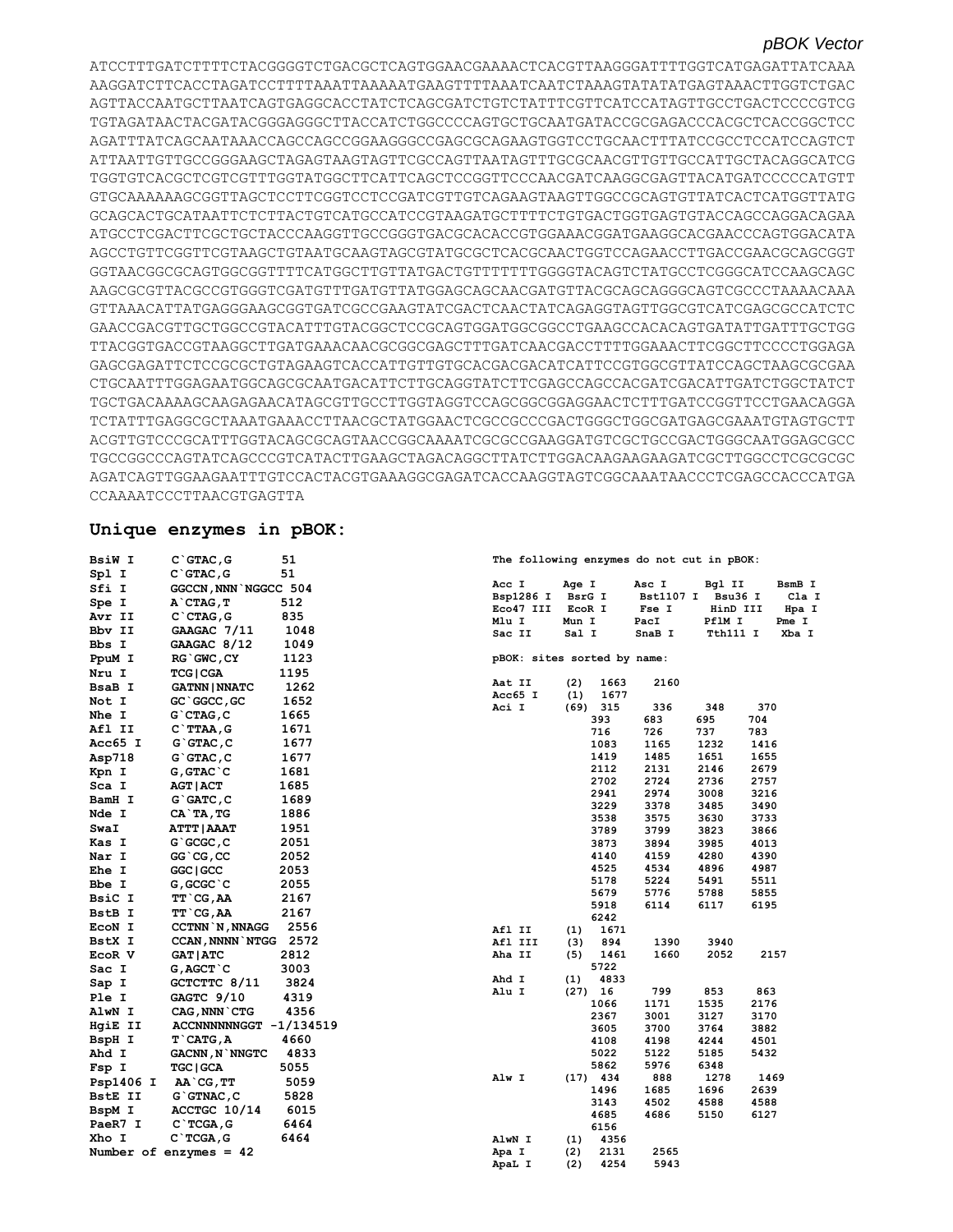ATCCTTTGATCTTTTCTACGGGGTCTGACGCTCAGTGGAACGAAAACTCACGTTAAGGGATTTTGGTCATGAGATTATCAAA AAGGATCTTCACCTAGATCCTTTTAAATTAAAAATGAAGTTTTAAATCAATCTAAAGTATATATGAGTAAACTTGGTCTGAC AGTTACCAATGCTTAATCAGTGAGGCACCTATCTCAGCGATCTGTCTATTTCGTTCATCCATAGTTGCCTGACTCCCCGTCG TGTAGATAACTACGATACGGGAGGGCTTACCATCTGGCCCCAGTGCTGCAATGATACCGCGAGACCCACGCTCACCGGCTCC AGATTTATCAGCAATAAACCAGCCAGCCGGAAGGGCCGAGCGCAGAAGTGGTCCTGCAACTTTATCCGCCTCCATCCAGTCT ATTAATTGTTGCCGGGAAGCTAGAGTAAGTAGTTCGCCAGTTAATAGTTTGCGCAACGTTGTTGCCATTGCTACAGGCATCG TGGTGTCACGCTCGTCGTTTGGTATGGCTTCATTCAGCTCCGGTTCCCAACGATCAAGGCGAGTTACATGATCCCCCATGTT GTGCAAAAAAGCGGTTAGCTCCTTCGGTCCTCCGATCGTTGTCAGAAGTAAGTTGGCCGCAGTGTTATCACTCATGGTTATG GCAGCACTGCATAATTCTCTTACTGTCATGCCATCCGTAAGATGCTTTTCTGTGACTGGTGAGTGTACCAGCCAGGACAGAA ATGCCTCGACTTCGCTGCTACCCAAGGTTGCCGGGTGACGCACACCGTGGAAACGGATGAAGGCACGAACCCAGTGGACATA AGCCTGTTCGGTTCGTAAGCTGTAATGCAAGTAGCGTATGCGCTCACGCAACTGGTCCAGAACCTTGACCGAACGCAGCGGT GGTAACGGCGCAGTGGCGGTTTTCATGGCTTGTTATGACTGTTTTTTTGGGGTACAGTCTATGCCTCGGGCATCCAAGCAGC AAGCGCGTTACGCCGTGGGTCGATGTTTGATGTTATGGAGCAGCAACGATGTTACGCAGCAGGGCAGTCGCCCTAAAACAAA GTTAAACATTATGAGGGAAGCGGTGATCGCCGAAGTATCGACTCAACTATCAGAGGTAGTTGGCGTCATCGAGCGCCATCTC GAACCGACGTTGCTGGCCGTACATTTGTACGGCTCCGCAGTGGATGGCGGCCTGAAGCCACACAGTGATATTGATTTGCTGG TTACGGTGACCGTAAGGCTTGATGAAACAACGCGGCGAGCTTTGATCAACGACCTTTTGGAAACTTCGGCTTCCCCTGGAGA GAGCGAGATTCTCCGCGCTGTAGAAGTCACCATTGTTGTGCACGACGACATCATTCCGTGGCGTTATCCAGCTAAGCGCGAA CTGCAATTTGGAGAATGGCAGCGCAATGACATTCTTGCAGGTATCTTCGAGCCAGCCACGATCGACATTGATCTGGCTATCT TGCTGACAAAAGCAAGAGAACATAGCGTTGCCTTGGTAGGTCCAGCGGCGGAGGAACTCTTTGATCCGGTTCCTGAACAGGA TCTATTTGAGGCGCTAAATGAAACCTTAACGCTATGGAACTCGCCGCCCGACTGGGCTGGCGATGAGCGAAATGTAGTGCTT ACGTTGTCCCGCATTTGGTACAGCGCAGTAACCGGCAAAATCGCGCCGAAGGATGTCGCTGCCGACTGGGCAATGGAGCGCC TGCCGGCCCAGTATCAGCCCGTCATACTTGAAGCTAGACAGGCTTATCTTGGACAAGAAGAAGATCGCTTGGCCTCGCGCGC AGATCAGTTGGAAGAATTTGTCCACTACGTGAAAGGCGAGATCACCAAGGTAGTCGGCAAATAACCCTCGAGCCACCCATGA CCAAAATCCCTTAACGTGAGTTA

### **Unique enzymes in pBOK:**

| BsiW I         | $C$ $G$ $CTAC$ , $G$      | 51   |        |                             |        |                   | The following enzymes do not cut in pBOK: |              |              |      |
|----------------|---------------------------|------|--------|-----------------------------|--------|-------------------|-------------------------------------------|--------------|--------------|------|
| Spl I          | $C$ $G$ TAC, G            | 51   |        |                             |        |                   |                                           |              |              |      |
| Sfi I          | GGCCN, NNN NGGCC 504      |      | Acc I  |                             | Age I  |                   | Asc I                                     | Bgl II       |              | B:   |
| Spe I          | A`CTAG, T                 | 512  |        | Bsp1286 I                   | BsrG I |                   | Bst1107 I Bsu36 I                         |              |              |      |
| Avr II         | $C$ $CTAG$ , $G$          | 835  | Mlu I  | Eco47 III                   | Mun I  | EcoR I            | Fse I<br>PacI                             | PflM I       | HinD III     | Pr   |
| Bbv II         | GAAGAC 7/11               | 1048 | Sac II |                             | Sal I  |                   | SnaB I                                    | Tth111 I     |              | X    |
| Bbs I          | GAAGAC 8/12               | 1049 |        |                             |        |                   |                                           |              |              |      |
| PpuM I         | RG GWC, CY                | 1123 |        | pBOK: sites sorted by name: |        |                   |                                           |              |              |      |
| Nru I          | <b>TCG   CGA</b>          | 1195 |        |                             |        |                   |                                           |              |              |      |
| BsaB I         | <b>GATNN   NNATC</b>      | 1262 | Aat II |                             | (2)    | 1663              | 2160                                      |              |              |      |
| Not I          | GC `GGCC, GC              | 1652 |        | Acc65 I                     | (1)    | 1677              |                                           |              |              |      |
| Nhe I          | $G$ $CTAG$ , $C$          | 1665 | Aci I  |                             |        | $(69)$ 315        | 336                                       | 348          | 370          |      |
| Afl II         | $C$ TTAA, $G$             | 1671 |        |                             |        | 393               | 683                                       | 695          | 704          |      |
| Acc65 I        | G`GTAC, C                 | 1677 |        |                             |        | 716<br>1083       | 726<br>1165                               | 737<br>1232  | 783<br>1416  |      |
| Asp718         | $G$ GTAC, $C$             | 1677 |        |                             |        | 1419              | 1485                                      | 1651         | 1655         |      |
| Kpn I          | $G$ , $G$ TAC $^{\circ}C$ | 1681 |        |                             |        | 2112              | 2131                                      | 2146         | 2679         |      |
| Sca I          | AGT   ACT                 | 1685 |        |                             |        | 2702              | 2724                                      | 2736         | 2757         |      |
| BamH I         | G`GATC, C                 | 1689 |        |                             |        | 2941              | 2974                                      | 3008         | 3216         |      |
|                |                           | 1886 |        |                             |        | 3229              | 3378                                      | 3485         | 3490         |      |
| Nde I          | CA`TA, TG                 |      |        |                             |        | 3538              | 3575                                      | 3630         | 3733         |      |
| SwaI           | <b>ATTT   AAAT</b>        | 1951 |        |                             |        | 3789              | 3799                                      | 3823         | 3866         |      |
| Kas I          | $G$ $GCGC$ , $C$          | 2051 |        |                             |        | 3873              | 3894                                      | 3985         | 4013         |      |
| Nar I          | GG `CG, CC                | 2052 |        |                             |        | 4140              | 4159                                      | 4280         | 4390         |      |
| Ehe I          | GGC   GCC                 | 2053 |        |                             |        | 4525<br>5178      | 4534<br>5224                              | 4896<br>5491 | 4987<br>5511 |      |
| Bbe I          | G, GCGC`C                 | 2055 |        |                             |        | 5679              | 5776                                      | 5788         | 5855         |      |
| BsiC I         | TT`CG,AA                  | 2167 |        |                             |        | 5918              | 6114                                      | 6117         | 6195         |      |
| BstB I         | TT`CG,AA                  | 2167 |        |                             |        | 6242              |                                           |              |              |      |
| ECON I         | <b>CCTNN N, NNAGG</b>     | 2556 | Afl II |                             | (1)    | 1671              |                                           |              |              |      |
| BstX I         | CCAN, NNNN NTGG 2572      |      |        | Afl III                     | (3)    | 894               | 1390                                      | 3940         |              |      |
| EcoR V         | <b>GAT   ATC</b>          | 2812 | Aha II |                             | (5)    | 1461              | 1660                                      | 2052         |              | 2157 |
| Sac I          | G, AGCT `C                | 3003 |        |                             |        | 5722              |                                           |              |              |      |
| Sap I          | GCTCTTC 8/11              | 3824 | Ahd I  |                             | (1)    | 4833              |                                           |              |              |      |
| Ple I          | GAGTC 9/10                | 4319 | Alu I  |                             |        | $(27)$ 16<br>1066 | 799                                       | 853<br>1535  | 863<br>2176  |      |
| AlwN I         | CAG, NNN CTG              | 4356 |        |                             |        | 2367              | 1171<br>3001                              | 3127         | 3170         |      |
| HqiE II        | ACCNNNNNNGGT -1/134519    |      |        |                             |        | 3605              | 3700                                      | 3764         | 3882         |      |
| BspH I         | T CATG, A                 | 4660 |        |                             |        | 4108              | 4198                                      | 4244         | 4501         |      |
| Ahd I          | <b>GACNN, N`NNGTC</b>     | 4833 |        |                             |        | 5022              | 5122                                      | 5185         | 5432         |      |
| Fsp I          | <b>TGC   GCA</b>          | 5055 |        |                             |        | 5862              | 5976                                      | 6348         |              |      |
| Psp1406 I      | AA`CG, TT                 | 5059 | Alw I  |                             |        | $(17)$ 434        | 888                                       | 1278         |              | 1469 |
| <b>BstE II</b> | $G$ $G$ TNAC, $C$         | 5828 |        |                             |        | 1496              | 1685                                      | 1696         | 2639         |      |
| BspM I         | ACCTGC 10/14              | 6015 |        |                             |        | 3143              | 4502                                      | 4588         | 4588         |      |
| PaeR7 I        | $C$ TCGA, G               | 6464 |        |                             |        | 4685              | 4686                                      | 5150         | 6127         |      |
| Xho I          | $C$ TCGA, $G$             | 6464 | AlwN I |                             | (1)    | 6156<br>4356      |                                           |              |              |      |
|                | Number of enzymes $= 42$  |      | Apa I  |                             | (2)    | 2131              | 2565                                      |              |              |      |
|                |                           |      | ApaL I |                             | (2)    | 4254              | 5943                                      |              |              |      |
|                |                           |      |        |                             |        |                   |                                           |              |              |      |

#### **The following enzymes do not cut in pBOK:**

| Acc I     | Age I  | Asc I            | Bgl II   | BsmB I |
|-----------|--------|------------------|----------|--------|
| Bsp1286 I | BsrG I | <b>Bst1107 I</b> | Bsu36 I  | Cla I  |
| Eco47 III | EcoR I | Fse I            | HinD III | Hpa I  |
| Mlu I     | Mun I  | PacI             | PflM I   | Pme I  |
| Sac II    | Sal I  | SnaB I           | Tth111 I | Xba I  |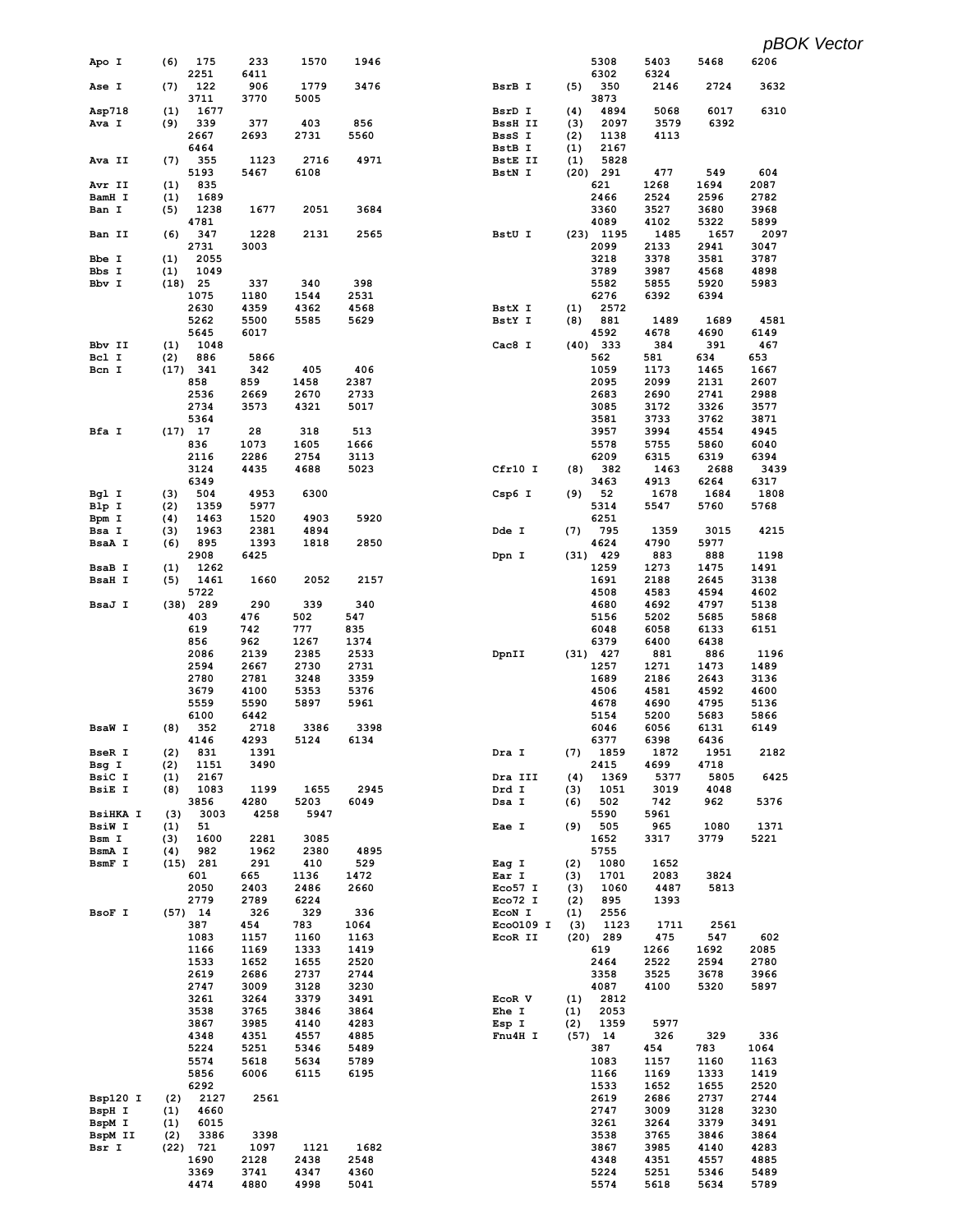| Apo I                   | 175<br>(6)                 | 233          | 1570         | 1946         |                  | 5308                       | 5403         | 5468         | 6206         |
|-------------------------|----------------------------|--------------|--------------|--------------|------------------|----------------------------|--------------|--------------|--------------|
|                         | 2251                       | 6411         |              |              |                  | 6302                       | 6324         |              |              |
| Ase I                   | (7)<br>122                 | 906          | 1779         | 3476         | BsrB I           | (5)<br>350                 | 2146         | 2724         | 3632         |
|                         | 3711                       | 3770         | 5005         |              |                  | 3873                       |              |              |              |
| Asp718                  | 1677<br>(1)                |              |              |              | BsrD I           | (4)<br>4894                | 5068         | 6017         | 6310         |
| Ava I                   | (9)<br>339                 | 377          | 403          | 856          | BssH II          | 2097<br>(3)                | 3579         | 6392         |              |
|                         | 2667                       | 2693         | 2731         | 5560         | BssS I           | (2)<br>1138                | 4113         |              |              |
|                         | 6464                       |              |              |              | BstB I           | (1)<br>2167                |              |              |              |
| Ava II                  | (7)<br>355                 | 1123         | 2716         | 4971         | BstE II          | 5828<br>(1)                |              |              |              |
| Avr II                  | 5193<br>835<br>(1)         | 5467         | 6108         |              | BstN I           | $(20)$ 291<br>621          | 477<br>1268  | 549<br>1694  | 604<br>2087  |
| BamH I                  | 1689<br>(1)                |              |              |              |                  | 2466                       | 2524         | 2596         | 2782         |
| Ban I                   | 1238<br>(5)                | 1677         | 2051         | 3684         |                  | 3360                       | 3527         | 3680         | 3968         |
|                         | 4781                       |              |              |              |                  | 4089                       | 4102         | 5322         | 5899         |
| Ban II                  | (6)<br>347                 | 1228         | 2131         | 2565         | BstU I           | $(23)$ 1195                | 1485         | 1657         | 2097         |
|                         | 2731                       | 3003         |              |              |                  | 2099                       | 2133         | 2941         | 3047         |
| Bbe I                   | (1)<br>2055                |              |              |              |                  | 3218                       | 3378         | 3581         | 3787         |
| Bbs I                   | 1049<br>(1)                |              |              |              |                  | 3789                       | 3987         | 4568         | 4898         |
| Bbv I                   | $(18)$ 25                  | 337          | 340          | 398          |                  | 5582                       | 5855         | 5920         | 5983         |
|                         | 1075                       | 1180         | 1544         | 2531         |                  | 6276                       | 6392         | 6394         |              |
|                         | 2630                       | 4359         | 4362         | 4568         | BstX I           | (1)<br>2572                |              |              |              |
|                         | 5262                       | 5500         | 5585         | 5629         | BstY I           | (8)<br>881                 | 1489         | 1689         | 4581         |
|                         | 5645                       | 6017         |              |              |                  | 4592                       | 4678         | 4690         | 6149         |
| Bbv II                  | (1)<br>1048                |              |              |              | Cac8 I           | $(40)$ 333                 | 384          | 391          | 467          |
| Bcl I                   | (2)<br>886                 | 5866         |              |              |                  | 562                        | 581          | 634          | 653          |
| Bcn I                   | (17)<br>341                | 342          | 405          | 406          |                  | 1059                       | 1173         | 1465         | 1667         |
|                         | 858                        | 859          | 1458         | 2387         |                  | 2095                       | 2099         | 2131         | 2607         |
|                         | 2536                       | 2669         | 2670         | 2733         |                  | 2683                       | 2690         | 2741         | 2988         |
|                         | 2734                       | 3573         | 4321         | 5017         |                  | 3085                       | 3172         | 3326         | 3577         |
|                         | 5364                       |              |              |              |                  | 3581                       | 3733         | 3762         | 3871         |
| Bfa I                   | $(17)$ 17                  | 28           | 318          | 513          |                  | 3957                       | 3994         | 4554         | 4945         |
|                         | 836                        | 1073         | 1605         | 1666         |                  | 5578                       | 5755         | 5860         | 6040         |
|                         | 2116                       | 2286         | 2754         | 3113         |                  | 6209                       | 6315         | 6319         | 6394         |
|                         | 3124<br>6349               | 4435         | 4688         | 5023         | Cfr10 I          | (8)<br>382<br>3463         | 1463<br>4913 | 2688<br>6264 | 3439<br>6317 |
| Bgl I                   | 504<br>(3)                 | 4953         | 6300         |              | Csp6 I           | 52<br>(9)                  | 1678         | 1684         | 1808         |
| Blp I                   | (2)<br>1359                | 5977         |              |              |                  | 5314                       | 5547         | 5760         | 5768         |
| Bpm I                   | 1463<br>(4)                | 1520         | 4903         | 5920         |                  | 6251                       |              |              |              |
| Bsa I                   | 1963<br>(3)                | 2381         | 4894         |              | Dde I            | 795<br>(7)                 | 1359         | 3015         | 4215         |
| BsaA I                  | 895<br>(6)                 | 1393         | 1818         | 2850         |                  | 4624                       | 4790         | 5977         |              |
|                         | 2908                       | 6425         |              |              | Dpn I            | $(31)$ 429                 | 883          | 888          | 1198         |
| BsaB I                  | (1)<br>1262                |              |              |              |                  | 1259                       | 1273         | 1475         | 1491         |
| <b>BsaH I</b>           | 1461<br>(5)                | 1660         | 2052         | 2157         |                  | 1691                       | 2188         | 2645         | 3138         |
|                         | 5722                       |              |              |              |                  | 4508                       | 4583         | 4594         | 4602         |
| BsaJ I                  | $(38)$ 289                 | 290          | 339          | 340          |                  | 4680                       | 4692         | 4797         | 5138         |
|                         | 403                        | 476          | 502          | 547          |                  | 5156                       | 5202         | 5685         | 5868         |
|                         | 619                        | 742          | 777          | 835          |                  | 6048                       | 6058         | 6133         | 6151         |
|                         | 856                        | 962          | 1267         | 1374         |                  | 6379                       | 6400         | 6438         |              |
|                         | 2086                       | 2139         | 2385         | 2533         | DpnII            | $(31)$ 427                 | 881          | 886          | 1196         |
|                         | 2594                       | 2667         | 2730         | 2731         |                  | 1257                       | 1271         | 1473         | 1489         |
|                         | 2780                       | 2781         | 3248         | 3359         |                  | 1689                       | 2186         | 2643         | 3136         |
|                         | 3679                       | 4100         | 5353         | 5376         |                  | 4506                       | 4581         | 4592         | 4600         |
|                         | 5559                       | 5590         | 5897         | 5961         |                  | 4678                       | 4690         | 4795         | 5136         |
|                         | 6100                       | 6442         |              |              |                  | 5154                       | 5200         | 5683         | 5866         |
| <b>BsaW I</b>           | (8)<br>352                 | 2718         | 3386         | 3398         |                  | 6046                       | 6056         | 6131         | 6149         |
|                         | 4146                       | 4293         | 5124         | 6134         |                  | 6377                       | 6398         | 6436         |              |
| BseR I                  | (2)<br>831                 | 1391         |              |              | Dra I            | (7)<br>1859                | 1872         | 1951         | 2182         |
| Bsg I                   | (2)<br>1151                | 3490         |              |              |                  | 2415                       | 4699         | 4718         |              |
| BsiC I<br><b>BsiE I</b> | 2167<br>(1)<br>1083<br>(8) | 1199         | 1655         | 2945         | Dra III<br>Drd I | (4)<br>1369<br>1051<br>(3) | 5377<br>3019 | 5805<br>4048 | 6425         |
|                         | 3856                       | 4280         | 5203         | 6049         |                  | 502                        | 742          | 962          | 5376         |
| <b>BsiHKA I</b>         | (3)<br>3003                | 4258         | 5947         |              | Dsa I            | (6)<br>5590                | 5961         |              |              |
| BsiW I                  | (1)<br>51                  |              |              |              | Eae I            | 505<br>(9)                 | 965          | 1080         | 1371         |
| Bsm I                   | 1600<br>(3)                | 2281         | 3085         |              |                  | 1652                       | 3317         | 3779         | 5221         |
| BsmA I                  | 982<br>(4)                 | 1962         | 2380         | 4895         |                  | 5755                       |              |              |              |
| BsmF I                  | $(15)$ 281                 | 291          | 410          | 529          | Eag I            | (2)<br>1080                | 1652         |              |              |
|                         | 601                        | 665          | 1136         | 1472         | Ear I            | (3)<br>1701                | 2083         | 3824         |              |
|                         | 2050                       | 2403         | 2486         | 2660         | Eco57 I          | (3)<br>1060                | 4487         | 5813         |              |
|                         | 2779                       | 2789         | 6224         |              | Eco72 I          | (2)<br>895                 | 1393         |              |              |
| BsoF I                  | $(57)$ 14                  | 326          | 329          | 336          | EcoN I           | 2556<br>(1)                |              |              |              |
|                         | 387                        | 454          | 783          | 1064         | Eco0109 I        | (3)<br>1123                | 1711         | 2561         |              |
|                         | 1083                       | 1157         | 1160         | 1163         | EcoR II          | $(20)$ 289                 | 475          | 547          | 602          |
|                         | 1166                       | 1169         | 1333         | 1419         |                  | 619                        | 1266         | 1692         | 2085         |
|                         | 1533                       | 1652         | 1655         | 2520         |                  | 2464                       | 2522         | 2594         | 2780         |
|                         | 2619                       | 2686         | 2737         | 2744         |                  | 3358                       | 3525         | 3678         | 3966         |
|                         | 2747                       | 3009         | 3128         | 3230         |                  | 4087                       | 4100         | 5320         | 5897         |
|                         | 3261                       | 3264<br>3765 | 3379         | 3491         | EcoR V           | (1)<br>2812<br>2053        |              |              |              |
|                         | 3538<br>3867               | 3985         | 3846<br>4140 | 3864<br>4283 | Ehe I<br>Esp I   | (1)<br>1359<br>(2)         | 5977         |              |              |
|                         | 4348                       | 4351         | 4557         | 4885         | Fnu4H I          | $(57)$ 14                  | 326          | 329          | 336          |
|                         | 5224                       | 5251         | 5346         | 5489         |                  | 387                        | 454          | 783          | 1064         |
|                         | 5574                       | 5618         | 5634         | 5789         |                  | 1083                       | 1157         | 1160         | 1163         |
|                         | 5856                       | 6006         | 6115         | 6195         |                  | 1166                       | 1169         | 1333         | 1419         |
|                         | 6292                       |              |              |              |                  | 1533                       | 1652         | 1655         | 2520         |
| Bsp120 I                | 2127<br>(2)                | 2561         |              |              |                  | 2619                       | 2686         | 2737         | 2744         |
| BspH I                  | 4660<br>(1)                |              |              |              |                  | 2747                       | 3009         | 3128         | 3230         |
| BspM I                  | 6015<br>(1)                |              |              |              |                  | 3261                       | 3264         | 3379         | 3491         |
| BspM II                 | 3386<br>(2)                | 3398         |              |              |                  | 3538                       | 3765         | 3846         | 3864         |
| Bsr I                   | $(22)$ 721                 | 1097         | 1121         | 1682         |                  | 3867                       | 3985         | 4140         | 4283         |
|                         | 1690                       | 2128         | 2438         | 2548         |                  | 4348                       | 4351         | 4557         | 4885         |
|                         | 3369                       | 3741         | 4347         | 4360         |                  | 5224                       | 5251         | 5346         | 5489         |
|                         | 4474                       | 4880         | 4998         | 5041         |                  | 5574                       | 5618         | 5634         | 5789         |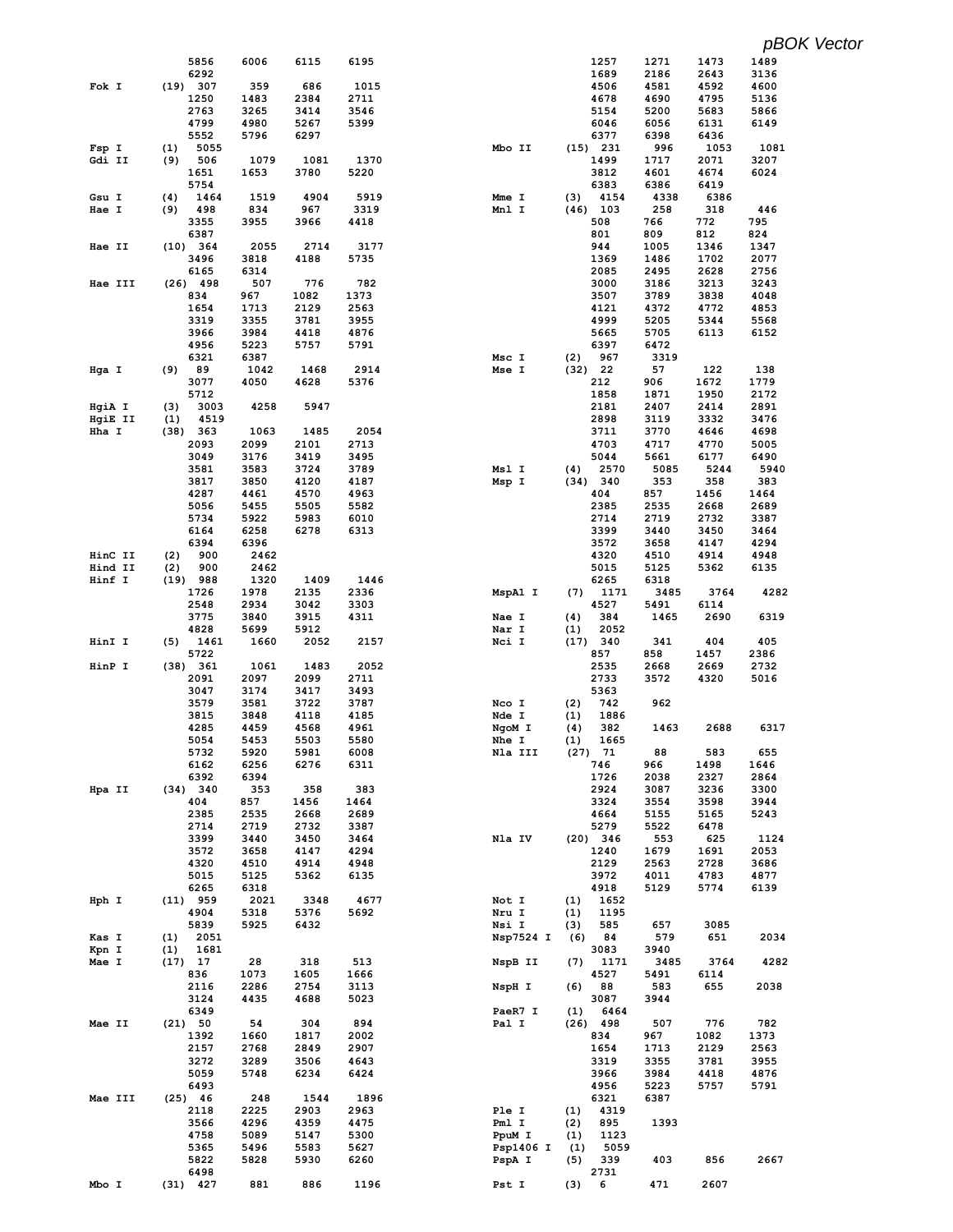|         | 5856               | 6006         | 6115         | 6195         |                | 1257                | 1271         | 1473         | 1489 |
|---------|--------------------|--------------|--------------|--------------|----------------|---------------------|--------------|--------------|------|
|         | 6292               |              |              |              |                | 1689                | 2186         | 2643         | 3136 |
| Fok I   | (19) 307           | 359          | 686          | 1015         |                | 4506                | 4581         | 4592         | 4600 |
|         | 1250               | 1483         | 2384         | 2711         |                | 4678                | 4690         | 4795         | 5136 |
|         | 2763               | 3265         | 3414         | 3546         |                | 5154                | 5200         | 5683         | 5866 |
|         | 4799               | 4980         | 5267         | 5399         |                | 6046                | 6056         | 6131         | 6149 |
|         | 5552               | 5796         | 6297         |              |                | 6377                | 6398         | 6436         |      |
| Fsp I   | 5055<br>(1)        |              |              |              | Mbo II         | $(15)$ 231          | 996          | 1053         | 1081 |
| Gdi II  | (9)<br>506         | 1079         | 1081         | 1370         |                | 1499                | 1717         | 2071         | 3207 |
|         | 1651               | 1653         | 3780         | 5220         |                | 3812                | 4601         | 4674         | 6024 |
|         | 5754               |              |              |              |                | 6383                | 6386         | 6419         |      |
| Gsu I   | (4)<br>1464        | 1519         | 4904         | 5919         | Mme I          | (3)<br>4154         | 4338         | 6386         |      |
| Hae I   | 498<br>(9)         | 834          | 967          | 3319         | Mnl I          | $(46)$ 103          | 258          | 318          | 446  |
|         | 3355               | 3955         | 3966         | 4418         |                | 508                 | 766          | 772          | 795  |
|         | 6387               |              |              |              |                | 801                 | 809          | 812          | 824  |
| Hae II  | (10) 364           | 2055         | 2714         | 3177         |                | 944                 | 1005         | 1346         | 1347 |
|         | 3496               | 3818         | 4188         | 5735         |                | 1369                | 1486         | 1702         | 2077 |
|         | 6165               | 6314         |              |              |                | 2085                | 2495         | 2628         | 2756 |
| Hae III | $(26)$ 498         | 507          | 776          | 782          |                | 3000                | 3186         | 3213         | 3243 |
|         | 834                | 967          | 1082         | 1373         |                | 3507                | 3789         | 3838         | 4048 |
|         | 1654               | 1713         | 2129         | 2563         |                | 4121                | 4372         | 4772         | 4853 |
|         | 3319               | 3355         | 3781         | 3955         |                | 4999                | 5205         | 5344         | 5568 |
|         | 3966               | 3984         | 4418         | 4876         |                | 5665                | 5705         | 6113         | 6152 |
|         | 4956               | 5223         | 5757         | 5791         |                | 6397                | 6472         |              |      |
|         | 6321<br>89         | 6387<br>1042 | 1468         | 2914         | Msc I<br>Mse I | 967<br>(2)          | 3319<br>57   | 122          | 138  |
| Hga I   | (9)<br>3077        | 4050         | 4628         | 5376         |                | (32) 22<br>212      | 906          | 1672         | 1779 |
|         | 5712               |              |              |              |                | 1858                | 1871         | 1950         | 2172 |
| HgiA I  | 3003<br>(3)        | 4258         | 5947         |              |                | 2181                | 2407         | 2414         | 2891 |
| HgiE II | 4519<br>(1)        |              |              |              |                | 2898                | 3119         | 3332         | 3476 |
| Hha I   | (38)<br>- 363      | 1063         | 1485         | 2054         |                | 3711                | 3770         | 4646         | 4698 |
|         | 2093               | 2099         | 2101         | 2713         |                | 4703                | 4717         | 4770         | 5005 |
|         | 3049               | 3176         | 3419         | 3495         |                | 5044                | 5661         | 6177         | 6490 |
|         | 3581               | 3583         | 3724         | 3789         | Msl I          | 2570<br>(4)         | 5085         | 5244         | 5940 |
|         | 3817               | 3850         | 4120         | 4187         | Msp I          | (34) 340            | 353          | 358          | 383  |
|         | 4287               | 4461         | 4570         | 4963         |                | 404                 | 857          | 1456         | 1464 |
|         | 5056               | 5455         | 5505         | 5582         |                | 2385                | 2535         | 2668         | 2689 |
|         | 5734               | 5922         | 5983         | 6010         |                | 2714                | 2719         | 2732         | 3387 |
|         | 6164               | 6258         | 6278         | 6313         |                | 3399                | 3440         | 3450         | 3464 |
|         | 6394               | 6396         |              |              |                | 3572                | 3658         | 4147         | 4294 |
| HinC II | 900<br>(2)         | 2462         |              |              |                | 4320                | 4510         | 4914         | 4948 |
| Hind II | (2)<br>900         | 2462         |              |              |                | 5015                | 5125         | 5362         | 6135 |
| Hinf I  | $(19)$ 988         | 1320         | 1409         | 1446         |                | 6265                | 6318         |              |      |
|         | 1726               | 1978         | 2135         | 2336         | MspA1 I        | (7)<br>1171         | 3485         | 3764         | 4282 |
|         | 2548               | 2934         | 3042         | 3303         |                | 4527                | 5491         | 6114         |      |
|         | 3775               | 3840         | 3915         | 4311         | Nae I          | 384<br>(4)          | 1465         | 2690         | 6319 |
|         | 4828               | 5699         | 5912         |              | Nar I          | 2052<br>(1)         |              |              |      |
| HinI I  | (5)<br>1461        | 1660         | 2052         | 2157         | Nci I          | 340<br>(17)         | 341          | 404          | 405  |
|         | 5722               |              |              |              |                | 857                 | 858          | 1457         | 2386 |
| HinP I  | (38) 361           | 1061         | 1483         | 2052         |                | 2535                | 2668         | 2669         | 2732 |
|         |                    |              |              |              |                |                     |              |              |      |
|         | 2091               | 2097         | 2099         | 2711         |                | 2733                | 3572         | 4320         | 5016 |
|         | 3047               | 3174         | 3417         | 3493         |                | 5363                |              |              |      |
|         | 3579               | 3581         | 3722         | 3787         | Nco I          | 742<br>(2)          | 962          |              |      |
|         | 3815               | 3848         | 4118         | 4185         | Nde I          | (1)<br>1886         |              |              |      |
|         | 4285               | 4459         | 4568         | 4961         | NgoM I         | 382<br>(4)          | 1463         | 2688         | 6317 |
|         | 5054               | 5453         | 5503         | 5580         | Nhe I          | 1665<br>(1)         |              |              |      |
|         | 5732               | 5920         | 5981         | 6008         | Nla III        | $(27)$ 71           | 88           | 583          | 655  |
|         | 6162               | 6256         | 6276         | 6311         |                | 746                 | 966          | 1498         | 1646 |
|         | 6392               | 6394         |              |              |                | 1726                | 2038         | 2327         | 2864 |
| Hpa II  | (34) 340           | 353          | 358          | 383          |                | 2924                | 3087         | 3236         | 3300 |
|         | 404                | 857          | 1456         | 1464         |                | 3324                | 3554         | 3598         | 3944 |
|         | 2385               | 2535         | 2668         | 2689         |                | 4664                | 5155         | 5165         | 5243 |
|         | 2714               | 2719         | 2732         | 3387         |                | 5279                | 5522         | 6478         |      |
|         | 3399               | 3440         | 3450         | 3464         | Nla IV         | $(20)$ 346          | 553          | 625          | 1124 |
|         | 3572               | 3658         | 4147         | 4294         |                | 1240                | 1679         | 1691         | 2053 |
|         | 4320               | 4510         | 4914         | 4948         |                | 2129                | 2563         | 2728         | 3686 |
|         | 5015               | 5125         | 5362         | 6135         |                | 3972                | 4011         | 4783         | 4877 |
|         | 6265               | 6318         |              |              |                | 4918                | 5129         | 5774         | 6139 |
| Hph I   | $(11)$ 959         | 2021         | 3348         | 4677         | Not I          | 1652<br>(1)         |              |              |      |
|         | 4904               | 5318         | 5376         | 5692         | Nru I          | 1195<br>(1)         |              |              |      |
|         | 5839               | 5925         | 6432         |              | Nsi I          | (3)<br>585          | 657          | 3085         |      |
| Kas I   | 2051<br>(1)        |              |              |              | Nsp7524 I      | (6)<br>84           | 579          | 651          | 2034 |
| Kpn I   | 1681<br>(1)        |              |              |              |                | 3083                | 3940         |              |      |
| Mae I   | $(17)$ 17<br>836   | 28<br>1073   | 318<br>1605  | 513<br>1666  | NspB II        | (7)<br>1171<br>4527 | 3485<br>5491 | 3764<br>6114 | 4282 |
|         |                    |              |              |              |                | (6)                 |              |              |      |
|         | 2116<br>3124       | 2286<br>4435 | 2754<br>4688 | 3113<br>5023 | NspH I         | 88<br>3087          | 583<br>3944  | 655          | 2038 |
|         | 6349               |              |              |              | PaeR7 I        | (1)<br>6464         |              |              |      |
| Mae II  | (21) 50            | 54           | 304          | 894          | Pal I          | $(26)$ 498          | 507          | 776          | 782  |
|         | 1392               | 1660         | 1817         | 2002         |                | 834                 | 967          | 1082         | 1373 |
|         | 2157               | 2768         | 2849         | 2907         |                | 1654                | 1713         | 2129         | 2563 |
|         | 3272               | 3289         | 3506         | 4643         |                | 3319                | 3355         | 3781         | 3955 |
|         | 5059               | 5748         | 6234         | 6424         |                | 3966                | 3984         | 4418         | 4876 |
|         | 6493               |              |              |              |                | 4956                | 5223         | 5757         | 5791 |
| Mae III | $(25)$ 46          | 248          | 1544         | 1896         |                | 6321                | 6387         |              |      |
|         | 2118               | 2225         | 2903         | 2963         | Ple I          | (1)<br>4319         |              |              |      |
|         | 3566               | 4296         | 4359         | 4475         | Pml I          | 895<br>(2)          | 1393         |              |      |
|         | 4758               | 5089         | 5147         | 5300         | PpuM I         | 1123<br>(1)         |              |              |      |
|         | 5365               | 5496         | 5583         | 5627         | Psp1406 I      | 5059<br>(1)         |              |              |      |
|         | 5822               | 5828         | 5930         | 6260         | PspA I         | 339<br>(5)          | 403          | 856          | 2667 |
| Mbo I   | 6498<br>$(31)$ 427 | 881          | 886          | 1196         | Pst I          | 2731<br>(3)<br>6    | 471          | 2607         |      |